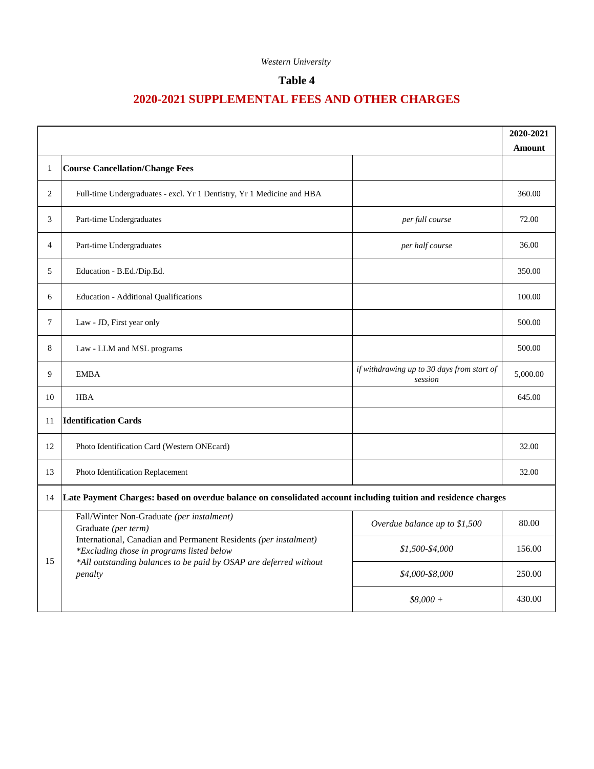## **Table 4**

|                |                                                                                                                                                                                                                                                                   |                                                       | 2020-2021     |  |
|----------------|-------------------------------------------------------------------------------------------------------------------------------------------------------------------------------------------------------------------------------------------------------------------|-------------------------------------------------------|---------------|--|
|                |                                                                                                                                                                                                                                                                   |                                                       | <b>Amount</b> |  |
| 1              | <b>Course Cancellation/Change Fees</b>                                                                                                                                                                                                                            |                                                       |               |  |
| 2              | Full-time Undergraduates - excl. Yr 1 Dentistry, Yr 1 Medicine and HBA                                                                                                                                                                                            |                                                       | 360.00        |  |
| 3              | Part-time Undergraduates                                                                                                                                                                                                                                          | per full course                                       | 72.00         |  |
| $\overline{4}$ | Part-time Undergraduates                                                                                                                                                                                                                                          | per half course                                       | 36.00         |  |
| 5              | Education - B.Ed./Dip.Ed.                                                                                                                                                                                                                                         |                                                       | 350.00        |  |
| 6              | <b>Education - Additional Qualifications</b>                                                                                                                                                                                                                      |                                                       | 100.00        |  |
| $\tau$         | Law - JD, First year only                                                                                                                                                                                                                                         |                                                       | 500.00        |  |
| 8              | Law - LLM and MSL programs                                                                                                                                                                                                                                        |                                                       | 500.00        |  |
| 9              | <b>EMBA</b>                                                                                                                                                                                                                                                       | if withdrawing up to 30 days from start of<br>session | 5,000.00      |  |
| 10             | <b>HBA</b>                                                                                                                                                                                                                                                        |                                                       | 645.00        |  |
| 11             | <b>Identification Cards</b>                                                                                                                                                                                                                                       |                                                       |               |  |
| 12             | Photo Identification Card (Western ONEcard)                                                                                                                                                                                                                       |                                                       | 32.00         |  |
| 13             | Photo Identification Replacement                                                                                                                                                                                                                                  |                                                       | 32.00         |  |
| 14             | Late Payment Charges: based on overdue balance on consolidated account including tuition and residence charges                                                                                                                                                    |                                                       |               |  |
|                | Fall/Winter Non-Graduate (per instalment)<br>Graduate (per term)<br>International, Canadian and Permanent Residents (per instalment)<br>*Excluding those in programs listed below<br>*All outstanding balances to be paid by OSAP are deferred without<br>penalty | Overdue balance up to \$1,500                         | 80.00         |  |
| 15             |                                                                                                                                                                                                                                                                   | \$1,500-\$4,000                                       | 156.00        |  |
|                |                                                                                                                                                                                                                                                                   | \$4,000-\$8,000                                       | 250.00        |  |
|                |                                                                                                                                                                                                                                                                   | $$8,000 +$                                            | 430.00        |  |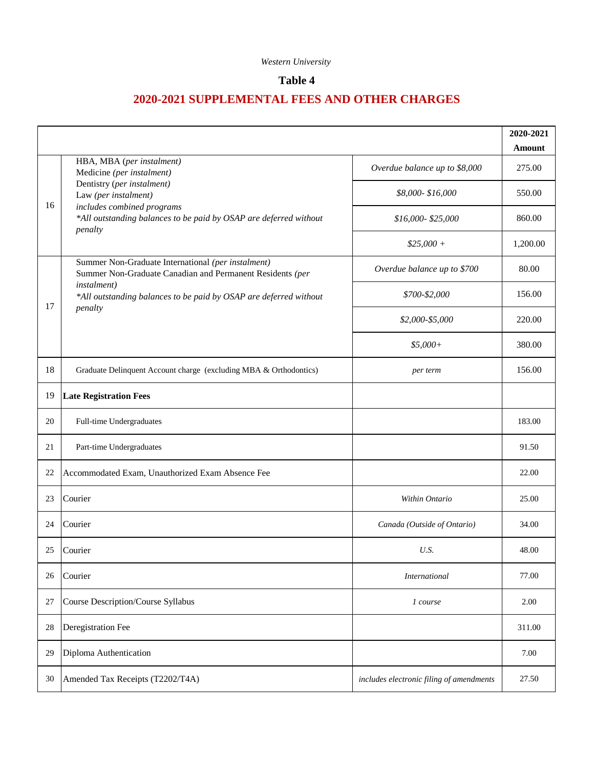## **Table 4**

|    |                                                                                                                                                                                                                            |                                          | 2020-2021<br><b>Amount</b> |
|----|----------------------------------------------------------------------------------------------------------------------------------------------------------------------------------------------------------------------------|------------------------------------------|----------------------------|
| 16 | HBA, MBA (per instalment)<br>Medicine (per instalment)<br>Dentistry (per instalment)<br>Law (per instalment)<br>includes combined programs<br>*All outstanding balances to be paid by OSAP are deferred without<br>penalty | Overdue balance up to \$8,000            | 275.00                     |
|    |                                                                                                                                                                                                                            | \$8,000-\$16,000                         | 550.00                     |
|    |                                                                                                                                                                                                                            | $$16,000 - $25,000$                      | 860.00                     |
|    |                                                                                                                                                                                                                            | $$25,000 +$                              | 1,200.00                   |
|    | Summer Non-Graduate International (per instalment)<br>Summer Non-Graduate Canadian and Permanent Residents (per<br>instalment)<br>*All outstanding balances to be paid by OSAP are deferred without<br>penalty             | Overdue balance up to \$700              | 80.00                      |
| 17 |                                                                                                                                                                                                                            | \$700-\$2,000                            | 156.00                     |
|    |                                                                                                                                                                                                                            | \$2,000-\$5,000                          | 220.00                     |
|    |                                                                                                                                                                                                                            | $$5,000+$                                | 380.00                     |
| 18 | Graduate Delinquent Account charge (excluding MBA & Orthodontics)                                                                                                                                                          | per term                                 | 156.00                     |
| 19 | <b>Late Registration Fees</b>                                                                                                                                                                                              |                                          |                            |
| 20 | Full-time Undergraduates                                                                                                                                                                                                   |                                          | 183.00                     |
| 21 | Part-time Undergraduates                                                                                                                                                                                                   |                                          | 91.50                      |
| 22 | Accommodated Exam, Unauthorized Exam Absence Fee                                                                                                                                                                           |                                          | 22.00                      |
| 23 | Courier                                                                                                                                                                                                                    | Within Ontario                           | 25.00                      |
| 24 | Courier                                                                                                                                                                                                                    | Canada (Outside of Ontario)              | 34.00                      |
| 25 | Courier                                                                                                                                                                                                                    | U.S.                                     | 48.00                      |
| 26 | Courier                                                                                                                                                                                                                    | <b>International</b>                     | 77.00                      |
| 27 | Course Description/Course Syllabus                                                                                                                                                                                         | 1 course                                 | 2.00                       |
| 28 | Deregistration Fee                                                                                                                                                                                                         |                                          | 311.00                     |
| 29 | Diploma Authentication                                                                                                                                                                                                     |                                          | 7.00                       |
| 30 | Amended Tax Receipts (T2202/T4A)                                                                                                                                                                                           | includes electronic filing of amendments | 27.50                      |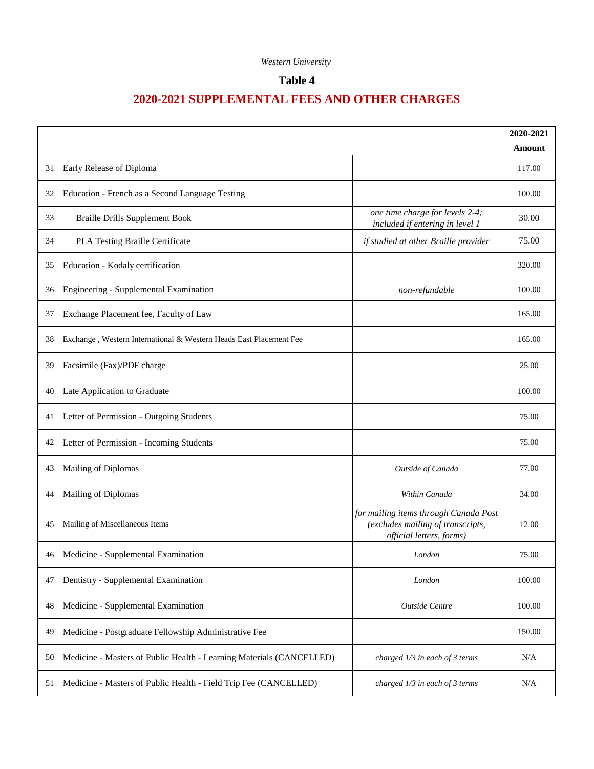## **Table 4**

|    |                                                                      | 2020-2021                                                                                              |        |
|----|----------------------------------------------------------------------|--------------------------------------------------------------------------------------------------------|--------|
|    |                                                                      |                                                                                                        | Amount |
| 31 | Early Release of Diploma                                             |                                                                                                        | 117.00 |
| 32 | Education - French as a Second Language Testing                      |                                                                                                        | 100.00 |
| 33 | <b>Braille Drills Supplement Book</b>                                | one time charge for levels 2-4;<br>included if entering in level 1                                     | 30.00  |
| 34 | PLA Testing Braille Certificate                                      | if studied at other Braille provider                                                                   | 75.00  |
| 35 | Education - Kodaly certification                                     |                                                                                                        | 320.00 |
| 36 | Engineering - Supplemental Examination                               | non-refundable                                                                                         | 100.00 |
| 37 | Exchange Placement fee, Faculty of Law                               |                                                                                                        | 165.00 |
| 38 | Exchange, Western International & Western Heads East Placement Fee   |                                                                                                        | 165.00 |
| 39 | Facsimile (Fax)/PDF charge                                           |                                                                                                        | 25.00  |
| 40 | Late Application to Graduate                                         |                                                                                                        | 100.00 |
| 41 | Letter of Permission - Outgoing Students                             |                                                                                                        | 75.00  |
| 42 | Letter of Permission - Incoming Students                             |                                                                                                        | 75.00  |
| 43 | Mailing of Diplomas                                                  | Outside of Canada                                                                                      | 77.00  |
| 44 | Mailing of Diplomas                                                  | Within Canada                                                                                          | 34.00  |
| 45 | Mailing of Miscellaneous Items                                       | for mailing items through Canada Post<br>(excludes mailing of transcripts,<br>official letters, forms) | 12.00  |
| 46 | Medicine - Supplemental Examination                                  | London                                                                                                 | 75.00  |
| 47 | Dentistry - Supplemental Examination                                 | London                                                                                                 | 100.00 |
| 48 | Medicine - Supplemental Examination                                  | Outside Centre                                                                                         | 100.00 |
| 49 | Medicine - Postgraduate Fellowship Administrative Fee                |                                                                                                        | 150.00 |
| 50 | Medicine - Masters of Public Health - Learning Materials (CANCELLED) | charged 1/3 in each of 3 terms                                                                         | N/A    |
| 51 | Medicine - Masters of Public Health - Field Trip Fee (CANCELLED)     | charged 1/3 in each of 3 terms                                                                         | N/A    |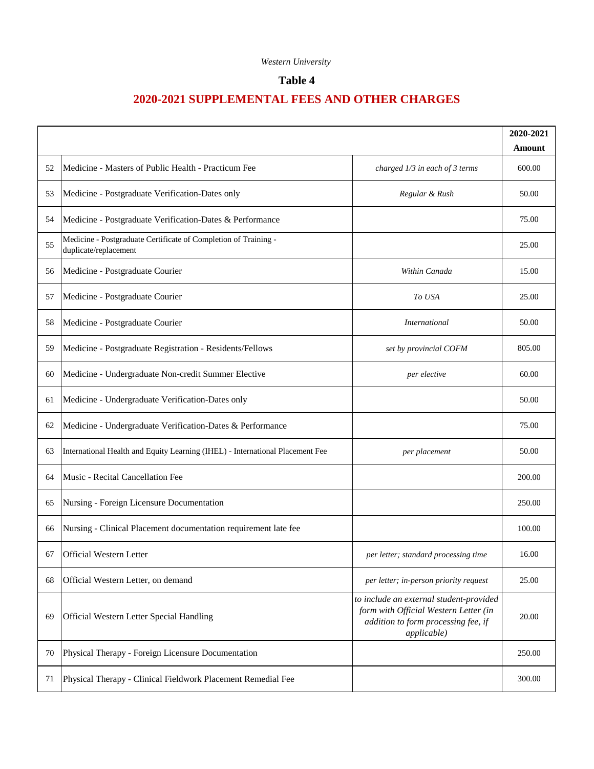## **Table 4**

|    |                                                                               |                                                                                                                                        | 2020-2021<br>Amount |
|----|-------------------------------------------------------------------------------|----------------------------------------------------------------------------------------------------------------------------------------|---------------------|
| 52 | Medicine - Masters of Public Health - Practicum Fee                           | charged 1/3 in each of 3 terms                                                                                                         | 600.00              |
| 53 | Medicine - Postgraduate Verification-Dates only                               | Regular & Rush                                                                                                                         | 50.00               |
|    | Medicine - Postgraduate Verification-Dates & Performance                      |                                                                                                                                        | 75.00               |
| 54 | Medicine - Postgraduate Certificate of Completion of Training -               |                                                                                                                                        |                     |
| 55 | duplicate/replacement                                                         |                                                                                                                                        | 25.00               |
| 56 | Medicine - Postgraduate Courier                                               | Within Canada                                                                                                                          | 15.00               |
| 57 | Medicine - Postgraduate Courier                                               | To USA                                                                                                                                 | 25.00               |
| 58 | Medicine - Postgraduate Courier                                               | <i>International</i>                                                                                                                   | 50.00               |
| 59 | Medicine - Postgraduate Registration - Residents/Fellows                      | set by provincial COFM                                                                                                                 | 805.00              |
| 60 | Medicine - Undergraduate Non-credit Summer Elective                           | per elective                                                                                                                           | 60.00               |
| 61 | Medicine - Undergraduate Verification-Dates only                              |                                                                                                                                        | 50.00               |
| 62 | Medicine - Undergraduate Verification-Dates & Performance                     |                                                                                                                                        | 75.00               |
| 63 | International Health and Equity Learning (IHEL) - International Placement Fee | per placement                                                                                                                          | 50.00               |
| 64 | Music - Recital Cancellation Fee                                              |                                                                                                                                        | 200.00              |
| 65 | Nursing - Foreign Licensure Documentation                                     |                                                                                                                                        | 250.00              |
| 66 | Nursing - Clinical Placement documentation requirement late fee               |                                                                                                                                        | 100.00              |
| 67 | <b>Official Western Letter</b>                                                | per letter; standard processing time                                                                                                   | 16.00               |
| 68 | Official Western Letter, on demand                                            | per letter; in-person priority request                                                                                                 | 25.00               |
| 69 | Official Western Letter Special Handling                                      | to include an external student-provided<br>form with Official Western Letter (in<br>addition to form processing fee, if<br>applicable) | 20.00               |
| 70 | Physical Therapy - Foreign Licensure Documentation                            |                                                                                                                                        | 250.00              |
| 71 | Physical Therapy - Clinical Fieldwork Placement Remedial Fee                  |                                                                                                                                        | 300.00              |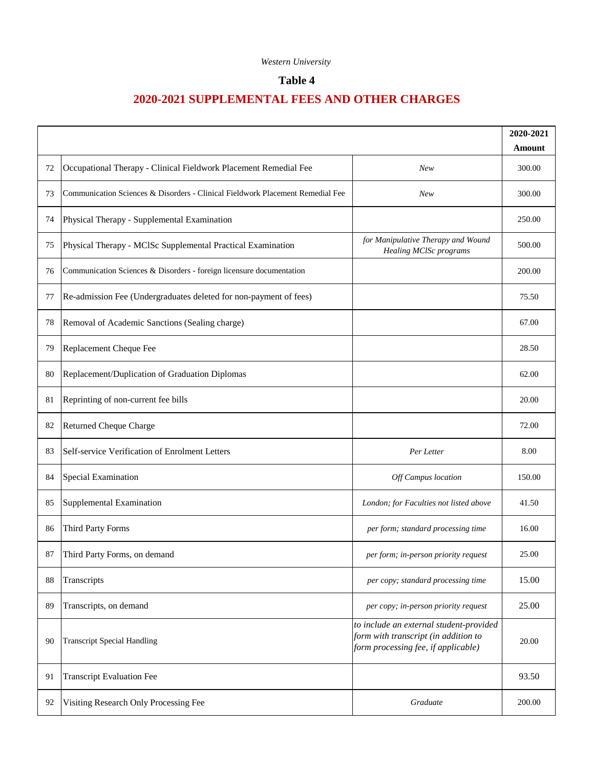## **Table 4**

|    |                                                                                |                                                                                                                        | 2020-2021 |
|----|--------------------------------------------------------------------------------|------------------------------------------------------------------------------------------------------------------------|-----------|
|    |                                                                                |                                                                                                                        | Amount    |
| 72 | Occupational Therapy - Clinical Fieldwork Placement Remedial Fee               | <b>New</b>                                                                                                             | 300.00    |
| 73 | Communication Sciences & Disorders - Clinical Fieldwork Placement Remedial Fee | New                                                                                                                    | 300.00    |
| 74 | Physical Therapy - Supplemental Examination                                    |                                                                                                                        | 250.00    |
| 75 | Physical Therapy - MCISc Supplemental Practical Examination                    | for Manipulative Therapy and Wound<br>Healing MClSc programs                                                           | 500.00    |
| 76 | Communication Sciences & Disorders - foreign licensure documentation           |                                                                                                                        | 200.00    |
| 77 | Re-admission Fee (Undergraduates deleted for non-payment of fees)              |                                                                                                                        | 75.50     |
| 78 | Removal of Academic Sanctions (Sealing charge)                                 |                                                                                                                        | 67.00     |
| 79 | Replacement Cheque Fee                                                         |                                                                                                                        | 28.50     |
| 80 | Replacement/Duplication of Graduation Diplomas                                 |                                                                                                                        | 62.00     |
| 81 | Reprinting of non-current fee bills                                            |                                                                                                                        | 20.00     |
| 82 | <b>Returned Cheque Charge</b>                                                  |                                                                                                                        | 72.00     |
| 83 | Self-service Verification of Enrolment Letters                                 | Per Letter                                                                                                             | 8.00      |
| 84 | Special Examination                                                            | Off Campus location                                                                                                    | 150.00    |
| 85 | Supplemental Examination                                                       | London; for Faculties not listed above                                                                                 | 41.50     |
| 86 | <b>Third Party Forms</b>                                                       | per form; standard processing time                                                                                     | 16.00     |
| 87 | Third Party Forms, on demand                                                   | per form; in-person priority request                                                                                   | 25.00     |
| 88 | Transcripts                                                                    | per copy; standard processing time                                                                                     | 15.00     |
| 89 | Transcripts, on demand                                                         | per copy; in-person priority request                                                                                   | 25.00     |
| 90 | <b>Transcript Special Handling</b>                                             | to include an external student-provided<br>form with transcript (in addition to<br>form processing fee, if applicable) | 20.00     |
| 91 | <b>Transcript Evaluation Fee</b>                                               |                                                                                                                        | 93.50     |
| 92 | Visiting Research Only Processing Fee                                          | Graduate                                                                                                               | 200.00    |